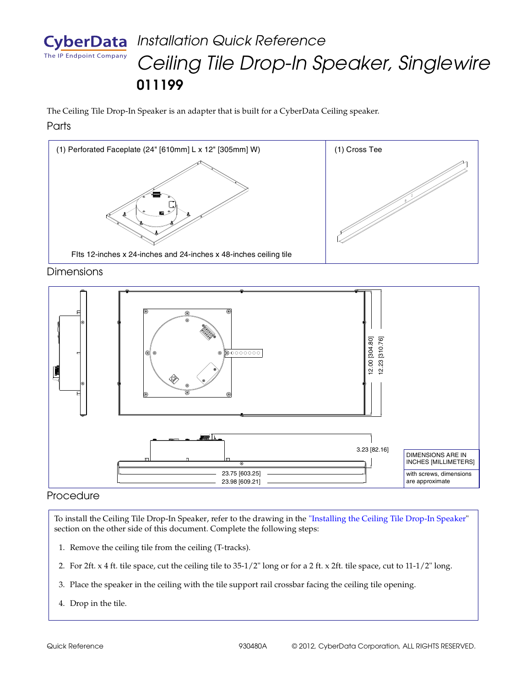

# *Installation Quick Reference Ceiling Tile Drop-In Speaker, Singlewire* **011199**

The Ceiling Tile Drop-In Speaker is an adapter that is built for a CyberData Ceiling speaker. **Parts** 



#### **Dimensions**



#### Procedure

To install the Ceiling Tile Drop-In Speaker, refer to the drawing in the ["Installing the Ceiling Tile Drop-In Speaker"](#page-1-0)  section on the other side of this document. Complete the following steps:

- 1. Remove the ceiling tile from the ceiling (T-tracks).
- 2. For 2ft. x 4 ft. tile space, cut the ceiling tile to 35-1/2" long or for a 2 ft. x 2ft. tile space, cut to 11-1/2" long.
- 3. Place the speaker in the ceiling with the tile support rail crossbar facing the ceiling tile opening.
- 4. Drop in the tile.